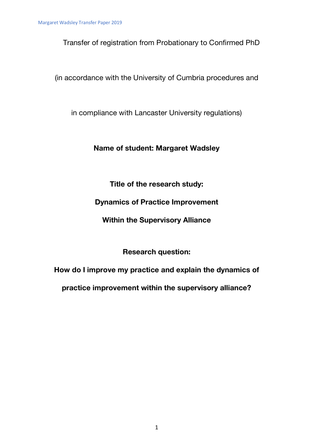Transfer of registration from Probationary to Confirmed PhD

(in accordance with the University of Cumbria procedures and

in compliance with Lancaster University regulations)

## **Name of student: Margaret Wadsley**

**Title of the research study:**

**Dynamics of Practice Improvement** 

**Within the Supervisory Alliance**

**Research question:** 

**How do I improve my practice and explain the dynamics of**

**practice improvement within the supervisory alliance?**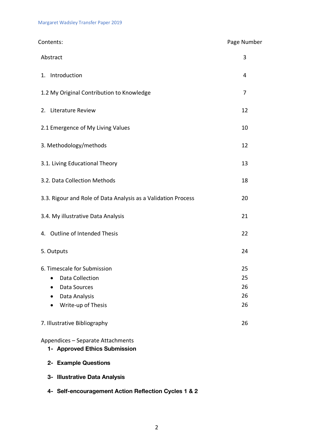| Contents:                                                                                                    | Page Number                |
|--------------------------------------------------------------------------------------------------------------|----------------------------|
| Abstract                                                                                                     | 3                          |
| 1. Introduction                                                                                              | 4                          |
| 1.2 My Original Contribution to Knowledge                                                                    | 7                          |
| 2. Literature Review                                                                                         | 12                         |
| 2.1 Emergence of My Living Values                                                                            | 10                         |
| 3. Methodology/methods                                                                                       | 12                         |
| 3.1. Living Educational Theory                                                                               | 13                         |
| 3.2. Data Collection Methods                                                                                 | 18                         |
| 3.3. Rigour and Role of Data Analysis as a Validation Process                                                | 20                         |
| 3.4. My illustrative Data Analysis                                                                           | 21                         |
| 4. Outline of Intended Thesis                                                                                | 22                         |
| 5. Outputs                                                                                                   | 24                         |
| 6. Timescale for Submission<br><b>Data Collection</b><br>Data Sources<br>Data Analysis<br>Write-up of Thesis | 25<br>25<br>26<br>26<br>26 |
| 7. Illustrative Bibliography                                                                                 | 26                         |
| Appendices - Separate Attachments<br>1- Approved Ethics Submission                                           |                            |

- **2- Example Questions**
- **3- Illustrative Data Analysis**
- **4- Self-encouragement Action Reflection Cycles 1 & 2**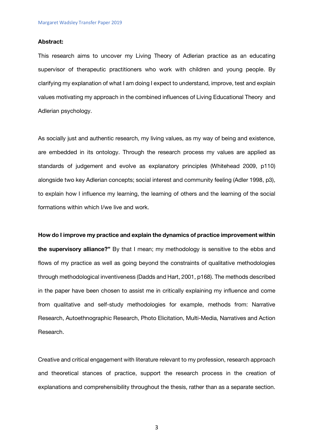## **Abstract:**

This research aims to uncover my Living Theory of Adlerian practice as an educating supervisor of therapeutic practitioners who work with children and young people. By clarifying my explanation of what I am doing I expect to understand, improve, test and explain values motivating my approach in the combined influences of Living Educational Theory and Adlerian psychology.

As socially just and authentic research, my living values, as my way of being and existence, are embedded in its ontology. Through the research process my values are applied as standards of judgement and evolve as explanatory principles (Whitehead 2009, p110) alongside two key Adlerian concepts; social interest and community feeling (Adler 1998, p3), to explain how I influence my learning, the learning of others and the learning of the social formations within which I/we live and work.

### **How do I improve my practice and explain the dynamics of practice improvement within**

**the supervisory alliance?"** By that I mean; my methodology is sensitive to the ebbs and flows of my practice as well as going beyond the constraints of qualitative methodologies through methodological inventiveness (Dadds and Hart, 2001, p168). The methods described in the paper have been chosen to assist me in critically explaining my influence and come from qualitative and self-study methodologies for example, methods from: Narrative Research, Autoethnographic Research, Photo Elicitation, Multi-Media, Narratives and Action Research.

Creative and critical engagement with literature relevant to my profession, research approach and theoretical stances of practice, support the research process in the creation of explanations and comprehensibility throughout the thesis, rather than as a separate section.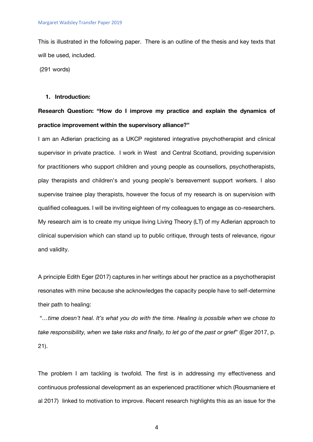This is illustrated in the following paper. There is an outline of the thesis and key texts that will be used, included.

(291 words)

## **1. Introduction:**

## **Research Question: "How do I improve my practice and explain the dynamics of practice improvement within the supervisory alliance?"**

I am an Adlerian practicing as a UKCP registered integrative psychotherapist and clinical supervisor in private practice. I work in West and Central Scotland, providing supervision for practitioners who support children and young people as counsellors, psychotherapists, play therapists and children's and young people's bereavement support workers. I also supervise trainee play therapists, however the focus of my research is on supervision with qualified colleagues. I will be inviting eighteen of my colleagues to engage as co-researchers. My research aim is to create my unique living Living Theory (LT) of my Adlerian approach to clinical supervision which can stand up to public critique, through tests of relevance, rigour and validity.

A principle Edith Eger (2017) captures in her writings about her practice as a psychotherapist resonates with mine because she acknowledges the capacity people have to self-determine their path to healing:

"*…time doesn't heal. It's what you do with the time. Healing is possible when we chose to take responsibility, when we take risks and finally, to let go of the past or grief*" (Eger 2017, p. 21).

The problem I am tackling is twofold. The first is in addressing my effectiveness and continuous professional development as an experienced practitioner which (Rousmaniere et al 2017) linked to motivation to improve. Recent research highlights this as an issue for the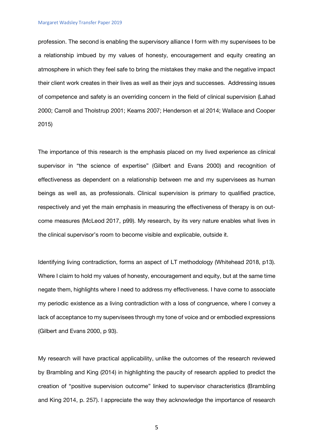profession. The second is enabling the supervisory alliance I form with my supervisees to be a relationship imbued by my values of honesty, encouragement and equity creating an atmosphere in which they feel safe to bring the mistakes they make and the negative impact their client work creates in their lives as well as their joys and successes. Addressing issues of competence and safety is an overriding concern in the field of clinical supervision (Lahad 2000; Carroll and Tholstrup 2001; Kearns 2007; Henderson et al 2014; Wallace and Cooper 2015)

The importance of this research is the emphasis placed on my lived experience as clinical supervisor in "the science of expertise" (Gilbert and Evans 2000) and recognition of effectiveness as dependent on a relationship between me and my supervisees as human beings as well as, as professionals. Clinical supervision is primary to qualified practice, respectively and yet the main emphasis in measuring the effectiveness of therapy is on outcome measures (McLeod 2017, p99). My research, by its very nature enables what lives in the clinical supervisor's room to become visible and explicable, outside it.

Identifying living contradiction, forms an aspect of LT methodology (Whitehead 2018, p13). Where I claim to hold my values of honesty, encouragement and equity, but at the same time negate them, highlights where I need to address my effectiveness. I have come to associate my periodic existence as a living contradiction with a loss of congruence, where I convey a lack of acceptance to my supervisees through my tone of voice and or embodied expressions (Gilbert and Evans 2000, p 93).

My research will have practical applicability, unlike the outcomes of the research reviewed by Brambling and King (2014) in highlighting the paucity of research applied to predict the creation of "positive supervision outcome" linked to supervisor characteristics (Brambling and King 2014, p. 257). I appreciate the way they acknowledge the importance of research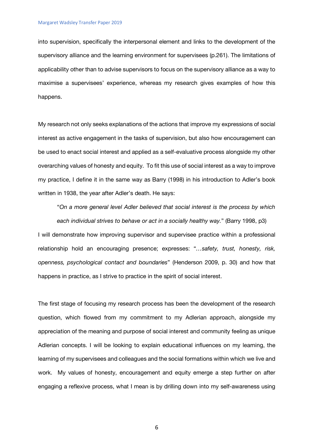into supervision, specifically the interpersonal element and links to the development of the supervisory alliance and the learning environment for supervisees (p.261). The limitations of applicability other than to advise supervisors to focus on the supervisory alliance as a way to maximise a supervisees' experience, whereas my research gives examples of how this happens.

My research not only seeks explanations of the actions that improve my expressions of social interest as active engagement in the tasks of supervision, but also how encouragement can be used to enact social interest and applied as a self-evaluative process alongside my other overarching values of honesty and equity. To fit this use of social interest as a way to improve my practice, I define it in the same way as Barry (1998) in his introduction to Adler's book written in 1938, the year after Adler's death. He says:

"*On a more general level Adler believed that social interest is the process by which each individual strives to behave or act in a socially healthy way.*" (Barry 1998, p3)

I will demonstrate how improving supervisor and supervisee practice within a professional relationship hold an encouraging presence; expresses: "*…safety, trust, honesty, risk, openness, psychological contact and boundaries*" (Henderson 2009, p. 30) and how that happens in practice, as I strive to practice in the spirit of social interest.

The first stage of focusing my research process has been the development of the research question, which flowed from my commitment to my Adlerian approach, alongside my appreciation of the meaning and purpose of social interest and community feeling as unique Adlerian concepts. I will be looking to explain educational influences on my learning, the learning of my supervisees and colleagues and the social formations within which we live and work. My values of honesty, encouragement and equity emerge a step further on after engaging a reflexive process, what I mean is by drilling down into my self-awareness using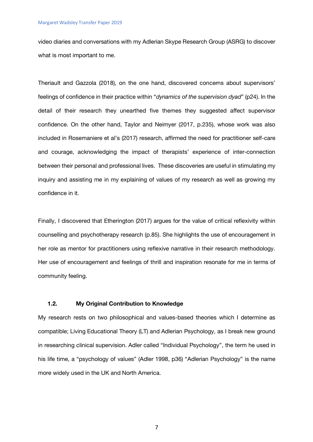video diaries and conversations with my Adlerian Skype Research Group (ASRG) to discover what is most important to me.

Theriault and Gazzola (2018), on the one hand, discovered concerns about supervisors' feelings of confidence in their practice within "*dynamics of the supervision dyad*" (p24). In the detail of their research they unearthed five themes they suggested affect supervisor confidence. On the other hand, Taylor and Neimyer (2017, p.235), whose work was also included in Rosemaniere et al's (2017) research, affirmed the need for practitioner self-care and courage, acknowledging the impact of therapists' experience of inter-connection between their personal and professional lives. These discoveries are useful in stimulating my inquiry and assisting me in my explaining of values of my research as well as growing my confidence in it.

Finally, I discovered that Etherington (2017) argues for the value of critical reflexivity within counselling and psychotherapy research (p.85). She highlights the use of encouragement in her role as mentor for practitioners using reflexive narrative in their research methodology. Her use of encouragement and feelings of thrill and inspiration resonate for me in terms of community feeling.

## **1.2. My Original Contribution to Knowledge**

My research rests on two philosophical and values-based theories which I determine as compatible; Living Educational Theory (LT) and Adlerian Psychology, as I break new ground in researching clinical supervision. Adler called "Individual Psychology", the term he used in his life time, a "psychology of values" (Adler 1998, p36) "Adlerian Psychology" is the name more widely used in the UK and North America.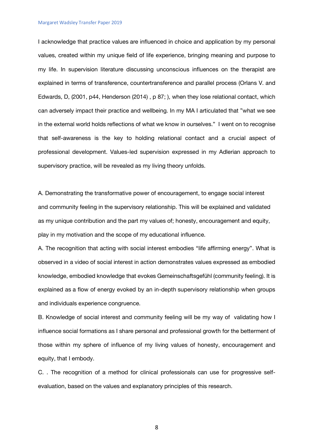#### Margaret Wadsley Transfer Paper 2019

I acknowledge that practice values are influenced in choice and application by my personal values, created within my unique field of life experience, bringing meaning and purpose to my life. In supervision literature discussing unconscious influences on the therapist are explained in terms of transference, countertransference and parallel process (Orlans V. and Edwards, D, (2001, p44, Henderson (2014) , p 87; ), when they lose relational contact, which can adversely impact their practice and wellbeing. In my MA I articulated that "what we see in the external world holds reflections of what we know in ourselves." I went on to recognise that self-awareness is the key to holding relational contact and a crucial aspect of professional development. Values-led supervision expressed in my Adlerian approach to supervisory practice, will be revealed as my living theory unfolds.

A. Demonstrating the transformative power of encouragement, to engage social interest and community feeling in the supervisory relationship. This will be explained and validated as my unique contribution and the part my values of; honesty, encouragement and equity, play in my motivation and the scope of my educational influence.

A. The recognition that acting with social interest embodies "life affirming energy". What is observed in a video of social interest in action demonstrates values expressed as embodied knowledge, embodied knowledge that evokes Gemeinschaftsgefühl (community feeling). It is explained as a flow of energy evoked by an in-depth supervisory relationship when groups and individuals experience congruence.

B. Knowledge of social interest and community feeling will be my way of validating how I influence social formations as I share personal and professional growth for the betterment of those within my sphere of influence of my living values of honesty, encouragement and equity, that I embody.

C. . The recognition of a method for clinical professionals can use for progressive selfevaluation, based on the values and explanatory principles of this research.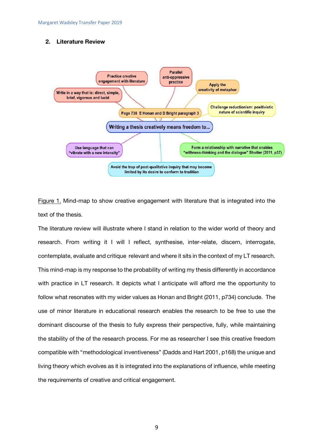## **2. Literature Review**



Figure 1. Mind-map to show creative engagement with literature that is integrated into the text of the thesis.

The literature review will illustrate where I stand in relation to the wider world of theory and research. From writing it I will I reflect, synthesise, inter-relate, discern, interrogate, contemplate, evaluate and critique relevant and where it sits in the context of my LT research. This mind-map is my response to the probability of writing my thesis differently in accordance with practice in LT research. It depicts what I anticipate will afford me the opportunity to follow what resonates with my wider values as Honan and Bright (2011, p734) conclude. The use of minor literature in educational research enables the research to be free to use the dominant discourse of the thesis to fully express their perspective, fully, while maintaining the stability of the of the research process. For me as researcher I see this creative freedom compatible with "methodological inventiveness" (Dadds and Hart 2001, p168) the unique and living theory which evolves as it is integrated into the explanations of influence, while meeting the requirements of creative and critical engagement.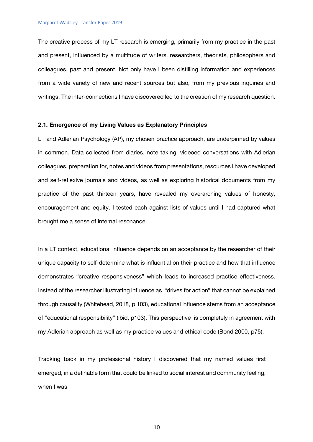The creative process of my LT research is emerging, primarily from my practice in the past and present, influenced by a multitude of writers, researchers, theorists, philosophers and colleagues, past and present. Not only have I been distilling information and experiences from a wide variety of new and recent sources but also, from my previous inquiries and writings. The inter-connections I have discovered led to the creation of my research question.

#### **2.1. Emergence of my Living Values as Explanatory Principles**

LT and Adlerian Psychology (AP), my chosen practice approach, are underpinned by values in common. Data collected from diaries, note taking, videoed conversations with Adlerian colleagues, preparation for, notes and videos from presentations, resources I have developed and self-reflexive journals and videos, as well as exploring historical documents from my practice of the past thirteen years, have revealed my overarching values of honesty, encouragement and equity. I tested each against lists of values until I had captured what brought me a sense of internal resonance.

In a LT context, educational influence depends on an acceptance by the researcher of their unique capacity to self-determine what is influential on their practice and how that influence demonstrates "creative responsiveness" which leads to increased practice effectiveness. Instead of the researcher illustrating influence as "drives for action" that cannot be explained through causality (Whitehead, 2018, p 103), educational influence stems from an acceptance of "educational responsibility" (ibid, p103). This perspective is completely in agreement with my Adlerian approach as well as my practice values and ethical code (Bond 2000, p75).

Tracking back in my professional history I discovered that my named values first emerged, in a definable form that could be linked to social interest and community feeling, when I was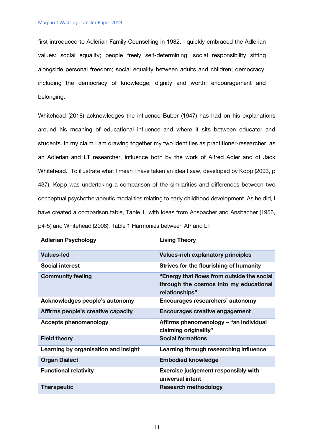first introduced to Adlerian Family Counselling in 1982. I quickly embraced the Adlerian values: social equality; people freely self-determining; social responsibility sitting alongside personal freedom; social equality between adults and children; democracy, including the democracy of knowledge; dignity and worth; encouragement and belonging.

Whitehead (2018) acknowledges the influence Buber (1947) has had on his explanations around his meaning of educational influence and where it sits between educator and students. In my claim I am drawing together my two identities as practitioner-researcher, as an Adlerian and LT researcher, influence both by the work of Alfred Adler and of Jack Whitehead. To illustrate what I mean I have taken an idea I saw, developed by Kopp (2003, p 437). Kopp was undertaking a comparison of the similarities and differences between two conceptual psychotherapeutic modalities relating to early childhood development. As he did, I have created a comparison table, Table 1, with ideas from Ansbacher and Ansbacher (1956, p4-5) and Whitehead (2008). Table 1 Harmonies between AP and LT

| <b>Adlerian Psychology</b> | <b>Living Theory</b> |
|----------------------------|----------------------|
|----------------------------|----------------------|

| <b>Values-led</b>                    | <b>Values-rich explanatory principles</b>                                                              |
|--------------------------------------|--------------------------------------------------------------------------------------------------------|
| <b>Social interest</b>               | Strives for the flourishing of humanity                                                                |
| <b>Community feeling</b>             | "Energy that flows from outside the social<br>through the cosmos into my educational<br>relationships" |
| Acknowledges people's autonomy       | Encourages researchers' autonomy                                                                       |
| Affirms people's creative capacity   | <b>Encourages creative engagement</b>                                                                  |
| <b>Accepts phenomenology</b>         | Affirms phenomenology - "an individual<br>claiming originality"                                        |
| <b>Field theory</b>                  | <b>Social formations</b>                                                                               |
| Learning by organisation and insight | Learning through researching influence                                                                 |
| <b>Organ Dialect</b>                 | <b>Embodied knowledge</b>                                                                              |
| <b>Functional relativity</b>         | <b>Exercise judgement responsibly with</b><br>universal intent                                         |
| <b>Therapeutic</b>                   | <b>Research methodology</b>                                                                            |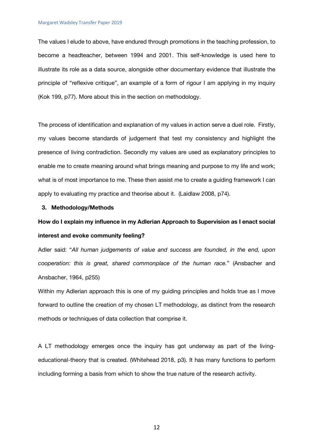The values I elude to above, have endured through promotions in the teaching profession, to become a headteacher, between 1994 and 2001. This self-knowledge is used here to illustrate its role as a data source, alongside other documentary evidence that illustrate the principle of "reflexive critique", an example of a form of rigour I am applying in my inquiry (Kok 199, p77). More about this in the section on methodology.

The process of identification and explanation of my values in action serve a duel role. Firstly, my values become standards of judgement that test my consistency and highlight the presence of living contradiction. Secondly my values are used as explanatory principles to enable me to create meaning around what brings meaning and purpose to my life and work; what is of most importance to me. These then assist me to create a guiding framework I can apply to evaluating my practice and theorise about it. (Laidlaw 2008, p74).

## **3. Methodology/Methods**

# **How do I explain my influence in my Adlerian Approach to Supervision as I enact social interest and evoke community feeling?**

Adler said: "*All human judgements of value and success are founded, in the end, upon cooperation: this is great, shared commonplace of the human race.*" (Ansbacher and Ansbacher, 1964, p255)

Within my Adlerian approach this is one of my guiding principles and holds true as I move forward to outline the creation of my chosen LT methodology, as distinct from the research methods or techniques of data collection that comprise it.

A LT methodology emerges once the inquiry has got underway as part of the livingeducational-theory that is created. (Whitehead 2018, p3). It has many functions to perform including forming a basis from which to show the true nature of the research activity.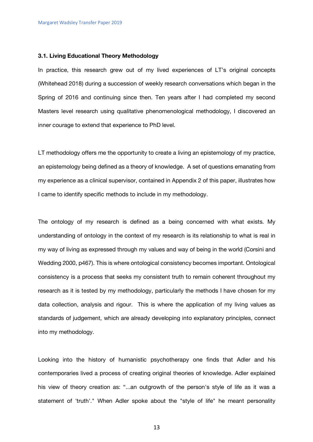#### **3.1. Living Educational Theory Methodology**

In practice, this research grew out of my lived experiences of LT's original concepts (Whitehead 2018) during a succession of weekly research conversations which began in the Spring of 2016 and continuing since then. Ten years after I had completed my second Masters level research using qualitative phenomenological methodology, I discovered an inner courage to extend that experience to PhD level.

LT methodology offers me the opportunity to create a living an epistemology of my practice, an epistemology being defined as a theory of knowledge. A set of questions emanating from my experience as a clinical supervisor, contained in Appendix 2 of this paper, illustrates how I came to identify specific methods to include in my methodology.

The ontology of my research is defined as a being concerned with what exists. My understanding of ontology in the context of my research is its relationship to what is real in my way of living as expressed through my values and way of being in the world (Corsini and Wedding 2000, p467). This is where ontological consistency becomes important. Ontological consistency is a process that seeks my consistent truth to remain coherent throughout my research as it is tested by my methodology, particularly the methods I have chosen for my data collection, analysis and rigour. This is where the application of my living values as standards of judgement, which are already developing into explanatory principles, connect into my methodology.

Looking into the history of humanistic psychotherapy one finds that Adler and his contemporaries lived a process of creating original theories of knowledge. Adler explained his view of theory creation as: "...an outgrowth of the person's style of life as it was a statement of 'truth'." When Adler spoke about the "style of life" he meant personality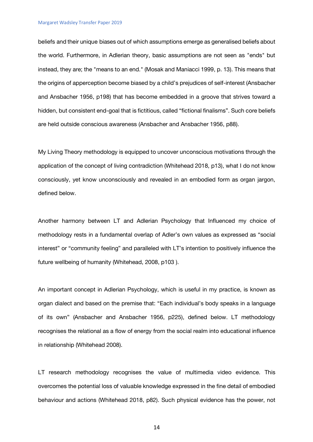#### Margaret Wadsley Transfer Paper 2019

beliefs and their unique biases out of which assumptions emerge as generalised beliefs about the world. Furthermore, in Adlerian theory, basic assumptions are not seen as "ends" but instead, they are; the "means to an end." (Mosak and Maniacci 1999, p. 13). This means that the origins of apperception become biased by a child's prejudices of self-interest (Ansbacher and Ansbacher 1956, p198) that has become embedded in a groove that strives toward a hidden, but consistent end-goal that is fictitious, called "fictional finalisms". Such core beliefs are held outside conscious awareness (Ansbacher and Ansbacher 1956, p88).

My Living Theory methodology is equipped to uncover unconscious motivations through the application of the concept of living contradiction (Whitehead 2018, p13), what I do not know consciously, yet know unconsciously and revealed in an embodied form as organ jargon, defined below.

Another harmony between LT and Adlerian Psychology that Influenced my choice of methodology rests in a fundamental overlap of Adler's own values as expressed as "social interest" or "community feeling" and paralleled with LT's intention to positively influence the future wellbeing of humanity (Whitehead, 2008, p103 ).

An important concept in Adlerian Psychology, which is useful in my practice, is known as organ dialect and based on the premise that: "Each individual's body speaks in a language of its own" (Ansbacher and Ansbacher 1956, p225), defined below. LT methodology recognises the relational as a flow of energy from the social realm into educational influence in relationship (Whitehead 2008).

LT research methodology recognises the value of multimedia video evidence. This overcomes the potential loss of valuable knowledge expressed in the fine detail of embodied behaviour and actions (Whitehead 2018, p82). Such physical evidence has the power, not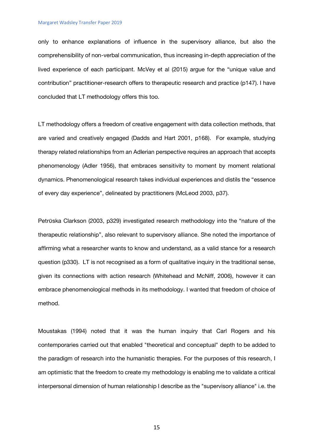only to enhance explanations of influence in the supervisory alliance, but also the comprehensibility of non-verbal communication, thus increasing in-depth appreciation of the lived experience of each participant. McVey et al (2015) argue for the "unique value and contribution" practitioner-research offers to therapeutic research and practice (p147). I have concluded that LT methodology offers this too.

LT methodology offers a freedom of creative engagement with data collection methods, that are varied and creatively engaged (Dadds and Hart 2001, p168). For example, studying therapy related relationships from an Adlerian perspective requires an approach that accepts phenomenology (Adler 1956), that embraces sensitivity to moment by moment relational dynamics. Phenomenological research takes individual experiences and distils the "essence of every day experience", delineated by practitioners (McLeod 2003, p37).

Petrūska Clarkson (2003, p329) investigated research methodology into the "nature of the therapeutic relationship", also relevant to supervisory alliance. She noted the importance of affirming what a researcher wants to know and understand, as a valid stance for a research question (p330). LT is not recognised as a form of qualitative inquiry in the traditional sense, given its connections with action research (Whitehead and McNiff, 2006), however it can embrace phenomenological methods in its methodology. I wanted that freedom of choice of method.

Moustakas (1994) noted that it was the human inquiry that Carl Rogers and his contemporaries carried out that enabled "theoretical and conceptual" depth to be added to the paradigm of research into the humanistic therapies. For the purposes of this research, I am optimistic that the freedom to create my methodology is enabling me to validate a critical interpersonal dimension of human relationship I describe as the "supervisory alliance" i.e. the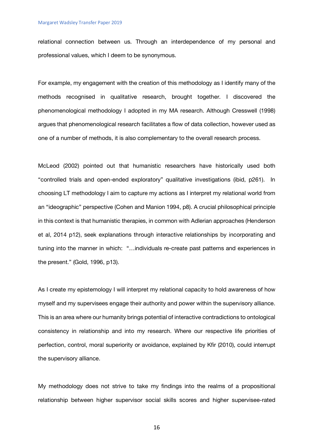relational connection between us. Through an interdependence of my personal and professional values, which I deem to be synonymous.

For example, my engagement with the creation of this methodology as I identify many of the methods recognised in qualitative research, brought together. I discovered the phenomenological methodology I adopted in my MA research. Although Cresswell (1998) argues that phenomenological research facilitates a flow of data collection, however used as one of a number of methods, it is also complementary to the overall research process.

McLeod (2002) pointed out that humanistic researchers have historically used both "controlled trials and open-ended exploratory" qualitative investigations (ibid, p261). In choosing LT methodology I aim to capture my actions as I interpret my relational world from an "ideographic" perspective (Cohen and Manion 1994, p8). A crucial philosophical principle in this context is that humanistic therapies, in common with Adlerian approaches (Henderson et al, 2014 p12), seek explanations through interactive relationships by incorporating and tuning into the manner in which: "…individuals re-create past patterns and experiences in the present." (Gold, 1996, p13).

As I create my epistemology I will interpret my relational capacity to hold awareness of how myself and my supervisees engage their authority and power within the supervisory alliance. This is an area where our humanity brings potential of interactive contradictions to ontological consistency in relationship and into my research. Where our respective life priorities of perfection, control, moral superiority or avoidance, explained by Kfir (2010), could interrupt the supervisory alliance.

My methodology does not strive to take my findings into the realms of a propositional relationship between higher supervisor social skills scores and higher supervisee-rated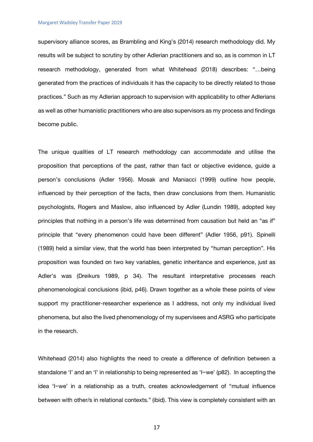supervisory alliance scores, as Brambling and King's (2014) research methodology did. My results will be subject to scrutiny by other Adlerian practitioners and so, as is common in LT research methodology, generated from what Whitehead (2018) describes: "…being generated from the practices of individuals it has the capacity to be directly related to those practices." Such as my Adlerian approach to supervision with applicability to other Adlerians as well as other humanistic practitioners who are also supervisors as my process and findings become public.

The unique qualities of LT research methodology can accommodate and utilise the proposition that perceptions of the past, rather than fact or objective evidence, guide a person's conclusions (Adler 1956). Mosak and Maniacci (1999) outline how people, influenced by their perception of the facts, then draw conclusions from them. Humanistic psychologists, Rogers and Maslow, also influenced by Adler (Lundin 1989), adopted key principles that nothing in a person's life was determined from causation but held an "as if" principle that "every phenomenon could have been different" (Adler 1956, p91). Spinelli (1989) held a similar view, that the world has been interpreted by "human perception". His proposition was founded on two key variables, genetic inheritance and experience, just as Adler's was (Dreikurs 1989, p 34). The resultant interpretative processes reach phenomenological conclusions (ibid, p46). Drawn together as a whole these points of view support my practitioner-researcher experience as I address, not only my individual lived phenomena, but also the lived phenomenology of my supervisees and ASRG who participate in the research.

Whitehead (2014) also highlights the need to create a difference of definition between a standalone 'I' and an 'I' in relationship to being represented as 'I~we' (p82). In accepting the idea 'I~we' in a relationship as a truth, creates acknowledgement of "mutual influence between with other/s in relational contexts." (ibid). This view is completely consistent with an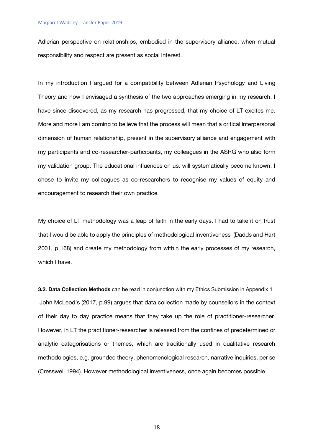Adlerian perspective on relationships, embodied in the supervisory alliance, when mutual responsibility and respect are present as social interest.

In my introduction I argued for a compatibility between Adlerian Psychology and Living Theory and how I envisaged a synthesis of the two approaches emerging in my research. I have since discovered, as my research has progressed, that my choice of LT excites me. More and more I am coming to believe that the process will mean that a critical interpersonal dimension of human relationship, present in the supervisory alliance and engagement with my participants and co-researcher-participants, my colleagues in the ASRG who also form my validation group. The educational influences on us, will systematically become known. I chose to invite my colleagues as co-researchers to recognise my values of equity and encouragement to research their own practice.

My choice of LT methodology was a leap of faith in the early days. I had to take it on trust that I would be able to apply the principles of methodological inventiveness (Dadds and Hart 2001, p 168) and create my methodology from within the early processes of my research, which I have.

**3.2. Data Collection Methods** can be read in conjunction with my Ethics Submission in Appendix 1 John McLeod's (2017, p.99) argues that data collection made by counsellors in the context of their day to day practice means that they take up the role of practitioner-researcher. However, in LT the practitioner-researcher is released from the confines of predetermined or analytic categorisations or themes, which are traditionally used in qualitative research methodologies, e.g. grounded theory, phenomenological research, narrative inquiries, per se (Cresswell 1994). However methodological inventiveness, once again becomes possible.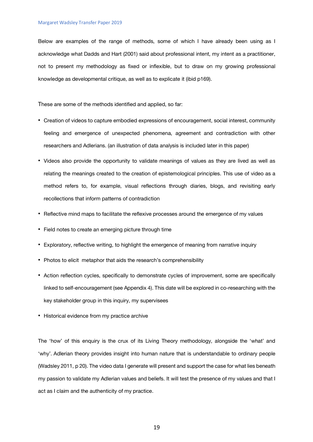Below are examples of the range of methods, some of which I have already been using as I acknowledge what Dadds and Hart (2001) said about professional intent, my intent as a practitioner, not to present my methodology as fixed or inflexible, but to draw on my growing professional knowledge as developmental critique, as well as to explicate it (ibid p169).

These are some of the methods identified and applied, so far:

- Creation of videos to capture embodied expressions of encouragement, social interest, community feeling and emergence of unexpected phenomena, agreement and contradiction with other researchers and Adlerians. (an illustration of data analysis is included later in this paper)
- Videos also provide the opportunity to validate meanings of values as they are lived as well as relating the meanings created to the creation of epistemological principles. This use of video as a method refers to, for example, visual reflections through diaries, blogs, and revisiting early recollections that inform patterns of contradiction
- Reflective mind maps to facilitate the reflexive processes around the emergence of my values
- Field notes to create an emerging picture through time
- Exploratory, reflective writing, to highlight the emergence of meaning from narrative inquiry
- Photos to elicit metaphor that aids the research's comprehensibility
- Action reflection cycles, specifically to demonstrate cycles of improvement, some are specifically linked to self-encouragement (see Appendix 4). This date will be explored in co-researching with the key stakeholder group in this inquiry, my supervisees
- Historical evidence from my practice archive

The 'how' of this enquiry is the crux of its Living Theory methodology, alongside the 'what' and 'why'. Adlerian theory provides insight into human nature that is understandable to ordinary people (Wadsley 2011, p 20). The video data I generate will present and support the case for what lies beneath my passion to validate my Adlerian values and beliefs. It will test the presence of my values and that I act as I claim and the authenticity of my practice.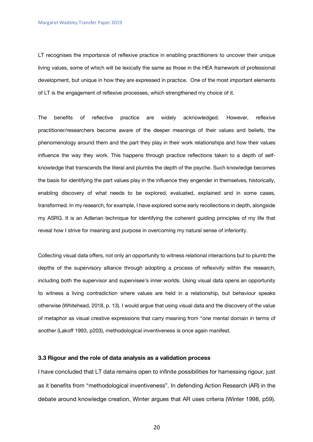LT recognises the importance of reflexive practice in enabling practitioners to uncover their unique living values, some of which will be lexically the same as those in the HEA framework of professional development, but unique in how they are expressed in practice. One of the most important elements of LT is the engagement of reflexive processes, which strengthened my choice of it.

The benefits of reflective practice are widely acknowledged. However, reflexive practitioner/researchers become aware of the deeper meanings of their values and beliefs, the phenomenology around them and the part they play in their work relationships and how their values influence the way they work. This happens through practice reflections taken to a depth of selfknowledge that transcends the literal and plumbs the depth of the psyche. Such knowledge becomes the basis for identifying the part values play in the influence they engender in themselves, historically, enabling discovery of what needs to be explored, evaluated, explained and in some cases, transformed. In my research, for example, I have explored some early recollections in depth, alongside my ASRG. It is an Adlerian technique for identifying the coherent guiding principles of my life that reveal how I strive for meaning and purpose in overcoming my natural sense of inferiority.

Collecting visual data offers, not only an opportunity to witness relational interactions but to plumb the depths of the supervisory alliance through adopting a process of reflexivity within the research, including both the supervisor and supervisee's inner worlds. Using visual data opens an opportunity to witness a living contradiction where values are held in a relationship, but behaviour speaks otherwise (Whitehead, 2018, p. 13). I would argue that using visual data and the discovery of the value of metaphor as visual creative expressions that carry meaning from "one mental domain in terms of another (Lakoff 1993, p203), methodological inventiveness is once again manifest.

## **3.3 Rigour and the role of data analysis as a validation process**

I have concluded that LT data remains open to infinite possibilities for harnessing rigour, just as it benefits from "methodological inventiveness". In defending Action Research (AR) in the debate around knowledge creation, Winter argues that AR uses criteria (Winter 1998, p59).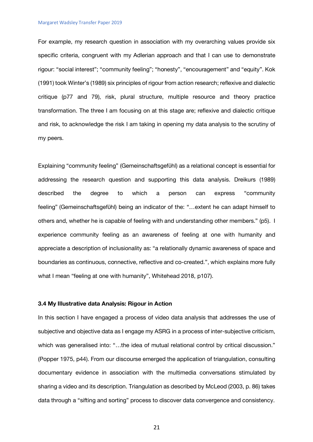#### Margaret Wadsley Transfer Paper 2019

For example, my research question in association with my overarching values provide six specific criteria, congruent with my Adlerian approach and that I can use to demonstrate rigour: "social interest"; "community feeling"; "honesty", "encouragement" and "equity". Kok (1991) took Winter's (1989) six principles of rigour from action research; reflexive and dialectic critique (p77 and 79), risk, plural structure, multiple resource and theory practice transformation. The three I am focusing on at this stage are; reflexive and dialectic critique and risk, to acknowledge the risk I am taking in opening my data analysis to the scrutiny of my peers.

Explaining "community feeling" (Gemeinschaftsgefϋhl) as a relational concept is essential for addressing the research question and supporting this data analysis. Dreikurs (1989) described the degree to which a person can express "community feeling" (Gemeinschaftsgefϋhl) being an indicator of the: "…extent he can adapt himself to others and, whether he is capable of feeling with and understanding other members." (p5). I experience community feeling as an awareness of feeling at one with humanity and appreciate a description of inclusionality as: "a relationally dynamic awareness of space and boundaries as continuous, connective, reflective and co-created.", which explains more fully what I mean "feeling at one with humanity", Whitehead 2018, p107).

## **3.4 My Illustrative data Analysis: Rigour in Action**

In this section I have engaged a process of video data analysis that addresses the use of subjective and objective data as I engage my ASRG in a process of inter-subjective criticism, which was generalised into: "...the idea of mutual relational control by critical discussion." (Popper 1975, p44). From our discourse emerged the application of triangulation, consulting documentary evidence in association with the multimedia conversations stimulated by sharing a video and its description. Triangulation as described by McLeod (2003, p. 86) takes data through a "sifting and sorting" process to discover data convergence and consistency.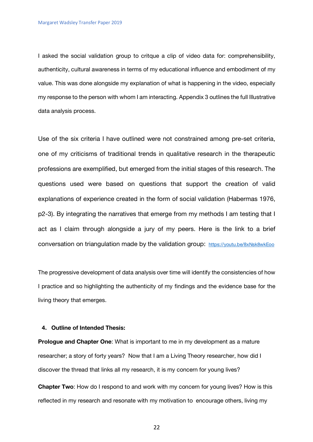I asked the social validation group to critque a clip of video data for: comprehensibility, authenticity, cultural awareness in terms of my educational influence and embodiment of my value. This was done alongside my explanation of what is happening in the video, especially my response to the person with whom I am interacting. Appendix 3 outlines the full Illustrative data analysis process.

Use of the six criteria I have outlined were not constrained among pre-set criteria, one of my criticisms of traditional trends in qualitative research in the therapeutic professions are exemplified, but emerged from the initial stages of this research. The questions used were based on questions that support the creation of valid explanations of experience created in the form of social validation (Habermas 1976, p2-3). By integrating the narratives that emerge from my methods I am testing that I act as I claim through alongside a jury of my peers. Here is the link to a brief conversation on triangulation made by the validation group: https://youtu.be/8xNsk8wkEoo

The progressive development of data analysis over time will identify the consistencies of how I practice and so highlighting the authenticity of my findings and the evidence base for the living theory that emerges.

## **4. Outline of Intended Thesis:**

**Prologue and Chapter One**: What is important to me in my development as a mature researcher; a story of forty years? Now that I am a Living Theory researcher, how did I discover the thread that links all my research, it is my concern for young lives?

**Chapter Two**: How do I respond to and work with my concern for young lives? How is this reflected in my research and resonate with my motivation to encourage others, living my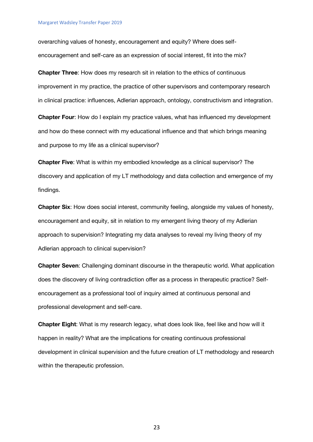overarching values of honesty, encouragement and equity? Where does selfencouragement and self-care as an expression of social interest, fit into the mix?

**Chapter Three**: How does my research sit in relation to the ethics of continuous improvement in my practice, the practice of other supervisors and contemporary research in clinical practice: influences, Adlerian approach, ontology, constructivism and integration.

**Chapter Four**: How do I explain my practice values, what has influenced my development and how do these connect with my educational influence and that which brings meaning and purpose to my life as a clinical supervisor?

**Chapter Five**: What is within my embodied knowledge as a clinical supervisor? The discovery and application of my LT methodology and data collection and emergence of my findings.

**Chapter Six**: How does social interest, community feeling, alongside my values of honesty, encouragement and equity, sit in relation to my emergent living theory of my Adlerian approach to supervision? Integrating my data analyses to reveal my living theory of my Adlerian approach to clinical supervision?

**Chapter Seven**: Challenging dominant discourse in the therapeutic world. What application does the discovery of living contradiction offer as a process in therapeutic practice? Selfencouragement as a professional tool of inquiry aimed at continuous personal and professional development and self-care.

**Chapter Eight**: What is my research legacy, what does look like, feel like and how will it happen in reality? What are the implications for creating continuous professional development in clinical supervision and the future creation of LT methodology and research within the therapeutic profession.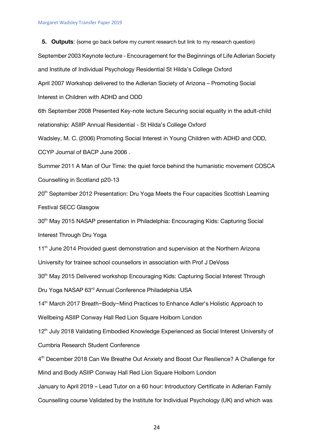Margaret Wadsley Transfer Paper 2019

**5. Outputs**: (some go back before my current research but link to my research question) September 2003 Keynote lecture - Encouragement for the Beginnings of Life Adlerian Society and Institute of Individual Psychology Residential St Hilda's College Oxford April 2007 Workshop delivered to the Adlerian Society of Arizona – Promoting Social Interest in Children with ADHD and ODD 6th September 2008 Presented Key-note lecture Securing social equality in the adult-child relationship: ASIIP Annual Residential - St Hilda's College Oxford Wadsley, M. C. (2006) Promoting Social Interest in Young Children with ADHD and ODD, CCYP Journal of BACP June 2006 . Summer 2011 A Man of Our Time: the quiet force behind the humanistic movement COSCA Counselling in Scotland p20-13 20th September 2012 Presentation: Dru Yoga Meets the Four capacities Scottish Learning Festival SECC Glasgow 30<sup>th</sup> May 2015 NASAP presentation in Philadelphia: Encouraging Kids: Capturing Social Interest Through Dru Yoga 11<sup>th</sup> June 2014 Provided quest demonstration and supervision at the Northern Arizona University for trainee school counsellors in association with Prof J DeVoss 30<sup>th</sup> May 2015 Delivered workshop Encouraging Kids: Capturing Social Interest Through Dru Yoga NASAP 63<sup>rd</sup> Annual Conference Philadelphia USA 14<sup>th</sup> March 2017 Breath~Body~Mind Practices to Enhance Adler's Holistic Approach to Wellbeing ASIIP Conway Hall Red Lion Square Holborn London 12<sup>th</sup> July 2018 Validating Embodied Knowledge Experienced as Social Interest University of Cumbria Research Student Conference 4th December 2018 Can We Breathe Out Anxiety and Boost Our Resilience? A Challenge for Mind and Body ASIIP Conway Hall Red Lion Square Holborn London January to April 2019 – Lead Tutor on a 60 hour: Introductory Certificate in Adlerian Family Counselling course Validated by the Institute for Individual Psychology (UK) and which was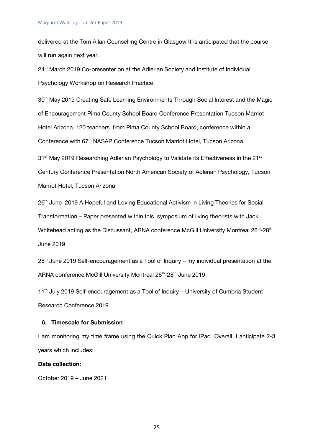delivered at the Tom Allan Counselling Centre in Glasgow It is anticipated that the course will run again next year.

24<sup>th</sup> March 2019 Co-presenter on at the Adlerian Society and Institute of Individual Psychology Workshop on Research Practice

30<sup>th</sup> May 2019 Creating Safe Learning Environments Through Social Interest and the Magic of Encouragement Pima County School Board Conference Presentation Tucson Marriot Hotel Arizona. 120 teachers from Pima County School Board, conference within a Conference with 67<sup>th</sup> NASAP Conference Tucson Marriot Hotel, Tucson Arizona

 $31<sup>st</sup>$  May 2019 Researching Adlerian Psychology to Validate its Effectiveness in the 21 $<sup>st</sup>$ </sup> Century Conference Presentation North American Society of Adlerian Psychology, Tucson Marriot Hotel, Tucson Arizona

26<sup>th</sup> June 2019 A Hopeful and Loving Educational Activism in Living Theories for Social Transformation – Paper presented within this symposium of living theorists with Jack Whitehead acting as the Discussant, ARNA conference McGill University Montreal 26<sup>th</sup>-28<sup>th</sup> June 2019

28<sup>th</sup> June 2019 Self-encouragement as a Tool of Inquiry – my individual presentation at the ARNA conference McGill University Montreal 26<sup>th</sup>-28<sup>th</sup> June 2019

11<sup>th</sup> July 2019 Self-encouragement as a Tool of Inquiry – University of Cumbria Student Research Conference 2019

## **6. Timescale for Submission**

I am monitoring my time frame using the Quick Plan App for iPad. Overall, I anticipate 2-3 years which includes:

## **Data collection:**

October 2019 – June 2021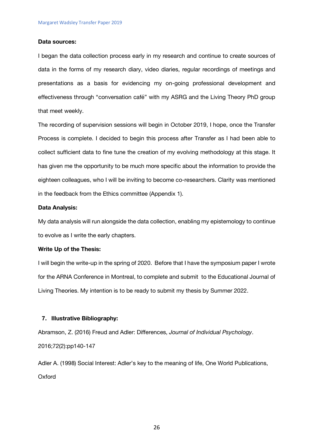## **Data sources:**

I began the data collection process early in my research and continue to create sources of data in the forms of my research diary, video diaries, regular recordings of meetings and presentations as a basis for evidencing my on-going professional development and effectiveness through "conversation café" with my ASRG and the Living Theory PhD group that meet weekly.

The recording of supervision sessions will begin in October 2019, I hope, once the Transfer Process is complete. I decided to begin this process after Transfer as I had been able to collect sufficient data to fine tune the creation of my evolving methodology at this stage. It has given me the opportunity to be much more specific about the information to provide the eighteen colleagues, who I will be inviting to become co-researchers. Clarity was mentioned in the feedback from the Ethics committee (Appendix 1).

## **Data Analysis:**

My data analysis will run alongside the data collection, enabling my epistemology to continue to evolve as I write the early chapters.

## **Write Up of the Thesis:**

I will begin the write-up in the spring of 2020. Before that I have the symposium paper I wrote for the ARNA Conference in Montreal, to complete and submit to the Educational Journal of Living Theories. My intention is to be ready to submit my thesis by Summer 2022.

## **7. Illustrative Bibliography:**

Abramson, Z. (2016) Freud and Adler: Differences, *Journal of Individual Psychology*. 2016;72(2):pp140-147

Adler A. (1998) Social Interest: Adler's key to the meaning of life, One World Publications, **Oxford**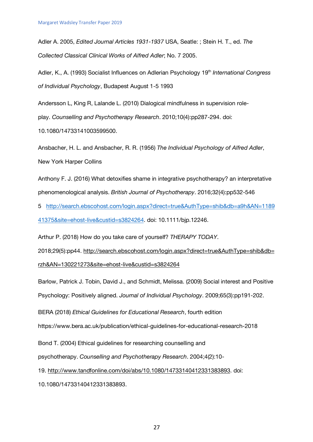10.1080/14733141003599500.

Adler A. 2005, *Edited Journal Articles 1931-1937* USA, Seatle: ; Stein H. T., ed. *The Collected Classical Clinical Works of Alfred Adler*; No. 7 2005.

Adler, K., A. (1993) Socialist Influences on Adlerian Psychology 19<sup>th</sup> International Congress *of Individual Psychology*, Budapest August 1-5 1993

Andersson L, King R, Lalande L. (2010) Dialogical mindfulness in supervision role‐ play. *Counselling and Psychotherapy Research*. 2010;10(4):pp287-294. doi:

Ansbacher, H. L. and Ansbacher, R. R. (1956) *The Individual Psychology of Alfred Adler*, New York Harper Collins

Anthony F. J. (2016) What detoxifies shame in integrative psychotherapy? an interpretative phenomenological analysis. *British Journal of Psychotherapy*. 2016;32(4):pp532-546

5 http://search.ebscohost.com/login.aspx?direct=true&AuthType=shib&db=a9h&AN=1189 41375&site=ehost-live&custid=s3824264. doi: 10.1111/bjp.12246.

Arthur P. (2018) How do you take care of yourself? *THERAPY TODAY*.

2018;29(5):pp44. http://search.ebscohost.com/login.aspx?direct=true&AuthType=shib&db= rzh&AN=130221273&site=ehost-live&custid=s3824264

Barlow, Patrick J. Tobin, David J., and Schmidt, Melissa. (2009) Social interest and Positive Psychology: Positively aligned. *Journal of Individual Psychology*. 2009;65(3):pp191-202.

BERA (2018) *Ethical Guidelines for Educational Research*, fourth edition

https://www.bera.ac.uk/publication/ethical-guidelines-for-educational-research-2018

Bond T. (2004) Ethical guidelines for researching counselling and

psychotherapy. *Counselling and Psychotherapy Research*. 2004;4(2):10-

19. http://www.tandfonline.com/doi/abs/10.1080/14733140412331383893. doi:

10.1080/14733140412331383893.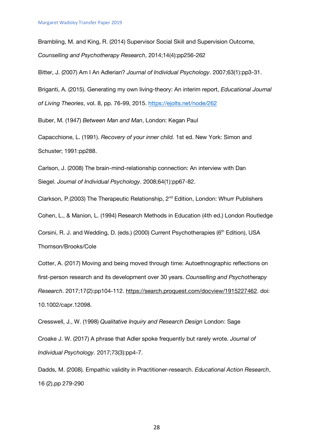Brambling, M. and King, R. (2014) Supervisor Social Skill and Supervision Outcome, *Counselling and Psychotherapy Research*, 2014;14(4):pp256-262

Bitter, J. (2007) Am I An Adlerian? *Journal of Individual Psychology*. 2007;63(1):pp3-31.

Briganti, A. (2015). Generating my own living-theory: An interim report, *Educational Journal of Living Theories*, vol. 8, pp. 76-99, 2015. https://ejolts.net/node/262

Buber, M. (1947) *Between Man and Man*, London: Kegan Paul

Capacchione, L. (1991). *Recovery of your inner child.* 1st ed. New York: Simon and Schuster; 1991:pp288.

Carlson, J. (2008) The brain-mind-relationship connection: An interview with Dan Siegel. *Journal of Individual Psychology*. 2008;64(1):pp67-82.

Clarkson, P.(2003) The Therapeutic Relationship, 2nd Edition, London: Whurr Publishers

Cohen, L., & Manion, L. (1994) Research Methods in Education (4th ed.) London Routledge

Corsini, R. J. and Wedding, D. (eds.) (2000) Current Psychotherapies (6<sup>th</sup> Edition), USA Thomson/Brooks/Cole

Cotter, A. (2017) Moving and being moved through time: Autoethnographic reflections on first-person research and its development over 30 years. *Counselling and Psychotherapy Research*. 2017;17(2):pp104-112. https://search.proquest.com/docview/1915227462. doi: 10.1002/capr.12098.

Cresswell, J., W. (1998) *Qualitative Inquiry and Research Design* London: Sage

Croake J. W. (2017) A phrase that Adler spoke frequently but rarely wrote. *Journal of Individual Psychology*. 2017;73(3):pp4-7.

Dadds, M. (2008). Empathic validity in Practitioner-research. *Educational Action Research*, 16 (2),pp 279-290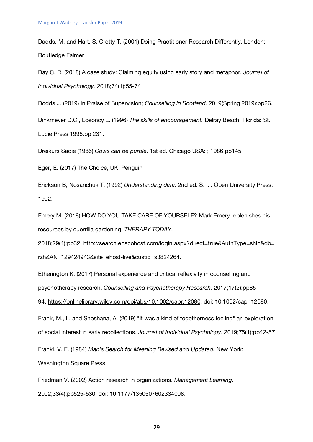Dadds, M. and Hart, S. Crotty T. (2001) Doing Practitioner Research Differently, London: Routledge Falmer

Day C. R. (2018) A case study: Claiming equity using early story and metaphor. *Journal of Individual Psychology*. 2018;74(1):55-74

Dodds J. (2019) In Praise of Supervision; *Counselling in Scotland*. 2019(Spring 2019):pp26.

Dinkmeyer D.C., Losoncy L. (1996) *The skills of encouragement.* Delray Beach, Florida: St. Lucie Press 1996:pp 231.

Dreikurs Sadie (1986) *Cows can be purple.* 1st ed. Chicago USA: ; 1986:pp145

Eger, E. (2017) The Choice, UK: Penguin

Erickson B, Nosanchuk T. (1992) *Understanding data.* 2nd ed. S. l. : Open University Press; 1992.

Emery M. (2018) HOW DO YOU TAKE CARE OF YOURSELF? Mark Emery replenishes his resources by guerrilla gardening. *THERAPY TODAY*.

2018;29(4):pp32. http://search.ebscohost.com/login.aspx?direct=true&AuthType=shib&db= rzh&AN=129424943&site=ehost-live&custid=s3824264.

Etherington K. (2017) Personal experience and critical reflexivity in counselling and

psychotherapy research. *Counselling and Psychotherapy Research*. 2017;17(2):pp85-

94. https://onlinelibrary.wiley.com/doi/abs/10.1002/capr.12080. doi: 10.1002/capr.12080.

Frank, M., L. and Shoshana, A. (2019) "It was a kind of togetherness feeling" an exploration of social interest in early recollections. *Journal of Individual Psychology*. 2019;75(1):pp42-57

Frankl, V. E. (1984) *Man's Search for Meaning Revised and Updated.* New York:

Washington Square Press

Friedman V. (2002) Action research in organizations. *Management Learning*. 2002;33(4):pp525-530. doi: 10.1177/1350507602334008.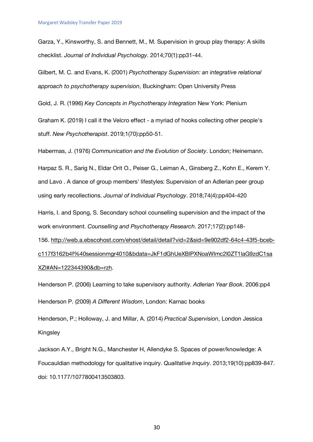Garza, Y., Kinsworthy, S. and Bennett, M., M. Supervision in group play therapy: A skills checklist. *Journal of Individual Psychology*. 2014;70(1):pp31-44.

Gilbert, M. C. and Evans, K. (2001) *Psychotherapy Supervision: an integrative relational approach to psychotherapy supervision*, Buckingham: Open University Press

Gold, J. R. (1996) *Key Concepts in Psychotherapy Integration* New York: Plenium

Graham K. (2019) I call it the Velcro effect - a myriad of hooks collecting other people's stuff. *New Psychotherapist*. 2019;1(70):pp50-51.

Habermas, J. (1976) *Communication and the Evolution of Society*. London; Heinemann.

Harpaz S. R., Sarig N., Eldar Orit O., Peiser G., Leiman A., Ginsberg Z., Kohn E., Kerem Y. and Lavo . A dance of group members' lifestyles: Supervision of an Adlerian peer group using early recollections. *Journal of Individual Psychology*. 2018;74(4):pp404-420

Harris, I. and Spong, S. Secondary school counselling supervision and the impact of the work environment. *Counselling and Psychotherapy Research*. 2017;17(2):pp148-

156. http://web.a.ebscohost.com/ehost/detail/detail?vid=2&sid=9e902df2-64c4-43f5-bcebc117f3162b4f%40sessionmgr4010&bdata=JkF1dGhUeXBlPXNoaWImc2l0ZT1laG9zdC1sa XZl#AN=122344390&db=rzh.

Henderson P. (2006) Learning to take supervisory authority. *Adlerian Year Book*. 2006:pp4 Henderson P. (2009) *A Different Wisdom*, London: Karnac books

Henderson, P.; Holloway, J. and Millar, A. (2014) *Practical Supervision*, London Jessica Kingsley

Jackson A.Y., Bright N.G., Manchester H, Allendyke S. Spaces of power/knowledge: A Foucauldian methodology for qualitative inquiry. *Qualitative Inquiry*. 2013;19(10):pp839-847. doi: 10.1177/1077800413503803.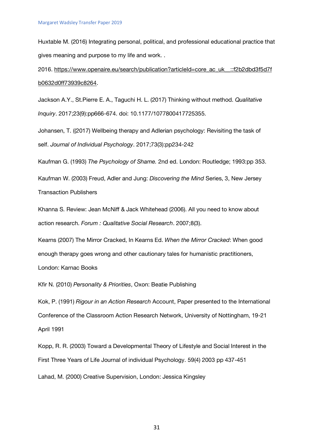Huxtable M. (2016) Integrating personal, political, and professional educational practice that gives meaning and purpose to my life and work. .

2016. https://www.openaire.eu/search/publication?articleId=core\_ac\_uk\_\_::f2b2dbd3f5d7f b0632d0ff73939c8264.

Jackson A.Y., St.Pierre E. A., Taguchi H. L. (2017) Thinking without method. *Qualitative Inquiry*. 2017;23(9):pp666-674. doi: 10.1177/1077800417725355.

Johansen, T. ((2017) Wellbeing therapy and Adlerian psychology: Revisiting the task of self. *Journal of Individual Psychology*. 2017;73(3):pp234-242

Kaufman G. (1993) *The Psychology of Shame.* 2nd ed. London: Routledge; 1993:pp 353.

Kaufman W. (2003) Freud, Adler and Jung: *Discovering the Mind* Series, 3, New Jersey Transaction Publishers

Khanna S. Review: Jean McNiff & Jack Whitehead (2006). All you need to know about action research. *Forum : Qualitative Social Research*. 2007;8(3).

Kearns (2007) The Mirror Cracked, In Kearns Ed. *When the Mirror Cracked*: When good enough therapy goes wrong and other cautionary tales for humanistic practitioners, London: Karnac Books

Kfir N. (2010) *Personality & Priorities*, Oxon: Beatie Publishing

Kok, P. (1991) *Rigour in an Action Research* Account, Paper presented to the International Conference of the Classroom Action Research Network, University of Nottingham, 19-21 April 1991

Kopp, R. R. (2003) Toward a Developmental Theory of Lifestyle and Social Interest in the First Three Years of Life Journal of individual Psychology. 59(4) 2003 pp 437-451

Lahad, M. (2000) Creative Supervision, London: Jessica Kingsley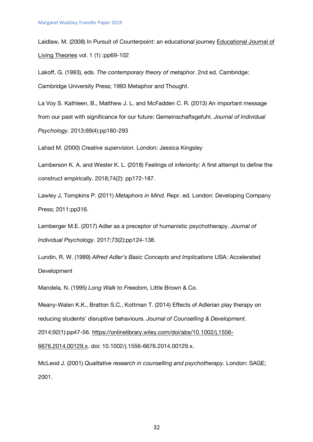Laidlaw, M. (2008) In Pursuit of Counterpoint: an educational journey Educational Journal of Living Theories vol. 1 (1) :pp69-102

Lakoff, G. (1993), eds. *The contemporary theory of metaphor.* 2nd ed. Cambridge: Cambridge University Press; 1993 Metaphor and Thought.

La Voy S. Kathleen, B., Matthew J. L. and McFadden C. R. (2013) An important message from our past with significance for our future: Gemeinschaftsgefuhl. *Journal of Individual Psychology*. 2013;69(4):pp180-293

Lahad M. (2000) *Creative supervision.* London: Jessica Kingsley

Lamberson K. A. and Wester K. L. (2018) Feelings of inferiority: A first attempt to define the construct empirically. 2018;74(2): pp172-187.

Lawley J, Tompkins P. (2011) *Metaphors in Mind.* Repr. ed. London: Developing Company Press; 2011:pp316.

Lemberger M.E. (2017) Adler as a preceptor of humanistic psychotherapy. *Journal of Individual Psychology*. 2017;73(2):pp124-138.

Lundin, R. W. (1989) *Alfred Adler's Basic Concepts and Implications* USA: Accelerated Development

Mandela, N. (1995) *Long Walk to Freedom,* Little Brown & Co.

Meany‐Walen K.K., Bratton S.C., Kottman T. (2014) Effects of Adlerian play therapy on reducing students' disruptive behaviours. *Journal of Counselling & Development*. 2014;92(1):pp47-56. https://onlinelibrary.wiley.com/doi/abs/10.1002/j.1556-

6676.2014.00129.x. doi: 10.1002/j.1556-6676.2014.00129.x.

McLeod J. (2001) *Qualitative research in counselling and psychotherapy.* London: SAGE; 2001.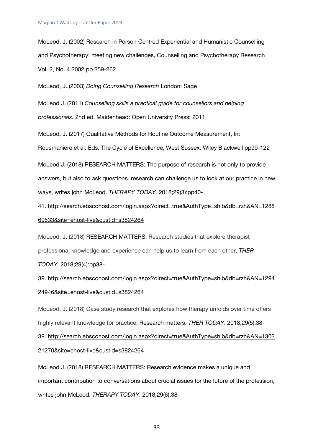McLeod, J. (2002) Research in Person Centred Experiential and Humanistic Counselling and Psychotherapy: meeting new challenges, Counselling and Psychotherapy Research Vol. 2, No. 4 2002 pp 259-262

McLeod, J. (2003) *Doing Counselling Research* London: Sage

McLeod J. (2011) *Counselling skills a practical guide for counsellors and helping professionals.* 2nd ed. Maidenhead: Open University Press; 2011.

McLeod, J. (2017) Qualitative Methods for Routine Outcome Measurement, In: Rousmaniere et al. Eds. The Cycle of Excellence, West Sussex: Wiley Blackwell pp99-122

McLeod J. (2018) RESEARCH MATTERS: The purpose of research is not only to provide answers, but also to ask questions. research can challenge us to look at our practice in new ways, writes john McLeod. *THERAPY TODAY*. 2018;29(3):pp40-

41. http://search.ebscohost.com/login.aspx?direct=true&AuthType=shib&db=rzh&AN=1288 69533&site=ehost-live&custid=s3824264

McLeod, J. (2018) RESEARCH MATTERS: Research studies that explore therapist professional knowledge and experience can help us to learn from each other, *THER TODAY*. 2018;29(4):pp38-

39. http://search.ebscohost.com/login.aspx?direct=true&AuthType=shib&db=rzh&AN=1294 24946&site=ehost-live&custid=s3824264

McLeod, J. (2018) Case study research that explores how therapy unfolds over time offers highly relevant knowledge for practice; Research matters. *THER TODAY*. 2018;29(5):38- 39. http://search.ebscohost.com/login.aspx?direct=true&AuthType=shib&db=rzh&AN=1302 21270&site=ehost-live&custid=s3824264

McLeod J. (2018) RESEARCH MATTERS: Research evidence makes a unique and important contribution to conversations about crucial issues for the future of the profession, writes john McLeod. *THERAPY TODAY*. 2018;29(6):38-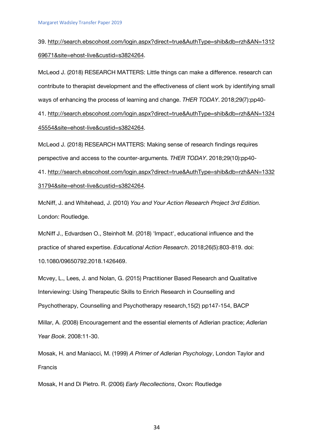39. http://search.ebscohost.com/login.aspx?direct=true&AuthType=shib&db=rzh&AN=1312 69671&site=ehost-live&custid=s3824264.

McLeod J. (2018) RESEARCH MATTERS: Little things can make a difference. research can contribute to therapist development and the effectiveness of client work by identifying small ways of enhancing the process of learning and change. *THER TODAY*. 2018;29(7):pp40- 41. http://search.ebscohost.com/login.aspx?direct=true&AuthType=shib&db=rzh&AN=1324 45554&site=ehost-live&custid=s3824264.

McLeod J. (2018) RESEARCH MATTERS: Making sense of research findings requires perspective and access to the counter-arguments. *THER TODAY*. 2018;29(10):pp40- 41. http://search.ebscohost.com/login.aspx?direct=true&AuthType=shib&db=rzh&AN=1332 31794&site=ehost-live&custid=s3824264.

McNiff, J. and Whitehead, J. (2010) *You and Your Action Research Project 3rd Edition.*  London: Routledge.

McNiff J., Edvardsen O., Steinholt M. (2018) 'Impact', educational influence and the practice of shared expertise. *Educational Action Research*. 2018;26(5):803-819. doi: 10.1080/09650792.2018.1426469.

Mcvey, L., Lees, J. and Nolan, G. (2015) Practitioner Based Research and Qualitative Interviewing: Using Therapeutic Skills to Enrich Research in Counselling and Psychotherapy, Counselling and Psychotherapy research,15(2) pp147-154, BACP

Millar, A. (2008) Encouragement and the essential elements of Adlerian practice; *Adlerian Year Book*. 2008:11-30.

Mosak, H. and Maniacci, M. (1999) *A Primer of Adlerian Psychology*, London Taylor and Francis

Mosak, H and Di Pietro. R. (2006) *Early Recollections*, Oxon: Routledge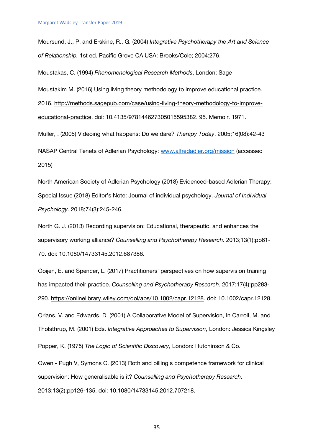Moursund, J., P. and Erskine, R., G. (2004) *Integrative Psychotherapy the Art and Science of Relationship.* 1st ed. Pacific Grove CA USA: Brooks/Cole; 2004:276.

Moustakas, C. (1994) *Phenomenological Research Methods*, London: Sage

Moustakim M. (2016) Using living theory methodology to improve educational practice.

2016. http://methods.sagepub.com/case/using-living-theory-methodology-to-improveeducational-practice. doi: 10.4135/978144627305015595382. 95. Memoir. 1971.

Muller, . (2005) Videoing what happens: Do we dare? *Therapy Today*. 2005;16(08):42-43

NASAP Central Tenets of Adlerian Psychology: www.alfredadler.org/mission (accessed 2015)

North American Society of Adlerian Psychology (2018) Evidenced-based Adlerian Therapy: Special Issue (2018) Editor's Note: Journal of individual psychology. *Journal of Individual Psychology*. 2018;74(3):245-246.

North G. J. (2013) Recording supervision: Educational, therapeutic, and enhances the supervisory working alliance? *Counselling and Psychotherapy Research*. 2013;13(1):pp61- 70. doi: 10.1080/14733145.2012.687386.

Ooijen, E. and Spencer, L. (2017) Practitioners' perspectives on how supervision training has impacted their practice. *Counselling and Psychotherapy Research*. 2017;17(4):pp283- 290. https://onlinelibrary.wiley.com/doi/abs/10.1002/capr.12128. doi: 10.1002/capr.12128.

Orlans, V. and Edwards, D. (2001) A Collaborative Model of Supervision, In Carroll, M. and Tholsthrup, M. (2001) Eds. *Integrative Approaches to Supervision*, London: Jessica Kingsley

Popper, K. (1975) *The Logic of Scientific Discovery*, London: Hutchinson & Co.

Owen - Pugh V, Symons C. (2013) Roth and pilling's competence framework for clinical supervision: How generalisable is it? *Counselling and Psychotherapy Research*. 2013;13(2):pp126-135. doi: 10.1080/14733145.2012.707218.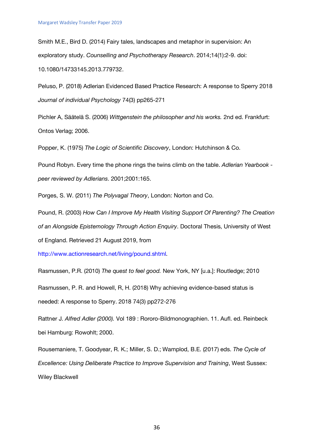Smith M.E., Bird D. (2014) Fairy tales, landscapes and metaphor in supervision: An exploratory study. *Counselling and Psychotherapy Research*. 2014;14(1):2-9. doi: 10.1080/14733145.2013.779732.

Peluso, P. (2018) Adlerian Evidenced Based Practice Research: A response to Sperry 2018 *Journal of individual Psychology* 74(3) pp265-271

Pichler A, Säätelä S. (2006) *Wittgenstein the philosopher and his works.* 2nd ed. Frankfurt: Ontos Verlag; 2006.

Popper, K. (1975) *The Logic of Scientific Discovery*, London: Hutchinson & Co.

Pound Robyn. Every time the phone rings the twins climb on the table. *Adlerian Yearbook peer reviewed by Adlerians*. 2001;2001:165.

Porges, S. W. (2011) *The Polyvagal Theory*, London: Norton and Co.

Pound, R. (2003) *How Can I Improve My Health Visiting Support Of Parenting? The Creation of an Alongside Epistemology Through Action Enquiry*. Doctoral Thesis, University of West of England. Retrieved 21 August 2019, from

http://www.actionresearch.net/living/pound.shtml.

Rasmussen, P.R. (2010) *The quest to feel good.* New York, NY [u.a.]: Routledge; 2010

Rasmussen, P. R. and Howell, R, H. (2018) Why achieving evidence-based status is needed: A response to Sperry. 2018 74(3) pp272-276

Rattner J. *Alfred Adler (2000).* Vol 189 : Rororo-Bildmonographien. 11. Aufl. ed. Reinbeck bei Hamburg: Rowohlt; 2000.

Rousemaniere, T. Goodyear, R. K.; Miller, S. D.; Wamplod, B.E. (2017) eds. *The Cycle of Excellence: Using Deliberate Practice to Improve Supervision and Training*, West Sussex: Wiley Blackwell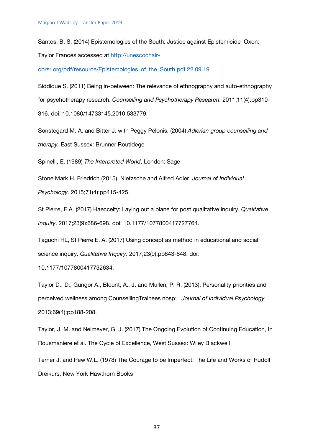Santos, B. S. (2014) Epistemologies of the South: Justice against Epistemicide Oxon:

Taylor Frances accessed at http://unescochair-

cbrsr.org/pdf/resource/Epistemologies\_of\_the\_South.pdf 22.09.19

Siddique S. (2011) Being in‐between: The relevance of ethnography and auto‐ethnography for psychotherapy research. *Counselling and Psychotherapy Research*. 2011;11(4):pp310- 316. doi: 10.1080/14733145.2010.533779.

Sonstegard M. A. and Bitter J. with Peggy Pelonis. (2004) *Adlerian group counselling and therapy.* East Sussex: Brunner Routldege

Spinelli, E. (1989) *The Interpreted World*, London: Sage

Stone Mark H. Friedrich (2015), Nietzsche and Alfred Adler. *Journal of Individual Psychology*. 2015;71(4):pp415-425.

St.Pierre, E.A. (2017) Haecceity: Laying out a plane for post qualitative inquiry. *Qualitative Inquiry*. 2017;23(9):686-698. doi: 10.1177/1077800417727764.

Taguchi HL, St Pierre E. A. (2017) Using concept as method in educational and social science inquiry. *Qualitative Inquiry*. 2017;23(9):pp643-648. doi:

10.1177/1077800417732634.

Taylor D., D., Gungor A., Blount, A., J. and Mullen, P. R. (2013), Personality priorities and perceived wellness among CounsellingTrainees nbsp; . *Journal of Individual Psychology* 2013;69(4):pp188-208.

Taylor, J. M. and Neimeyer, G. J. (2017) The Ongoing Evolution of Continuing Education, In Rousmaniere et al. The Cycle of Excellence, West Sussex: Wiley Blackwell

Terner J. and Pew W.L. (1978) The Courage to be Imperfect: The Life and Works of Rudolf Dreikurs, New York Hawthorn Books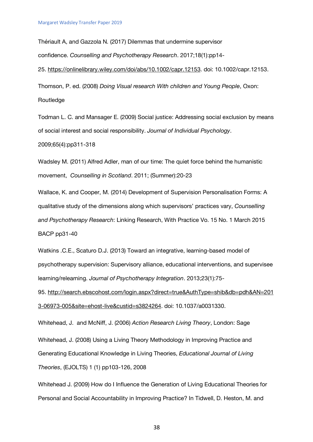Thériault A, and Gazzola N. (2017) Dilemmas that undermine supervisor confidence. *Counselling and Psychotherapy Research*. 2017;18(1):pp14- 25. https://onlinelibrary.wiley.com/doi/abs/10.1002/capr.12153. doi: 10.1002/capr.12153. Thomson, P. ed. (2008) *Doing Visual research With children and Young People*, Oxon:

**Routledge** 

Todman L. C. and Mansager E. (2009) Social justice: Addressing social exclusion by means of social interest and social responsibility. *Journal of Individual Psychology*. 2009;65(4):pp311-318

Wadsley M. (2011) Alfred Adler, man of our time: The quiet force behind the humanistic movement, *Counselling in Scotland*. 2011; (Summer):20-23

Wallace, K. and Cooper, M. (2014) Development of Supervision Personalisation Forms: A qualitative study of the dimensions along which supervisors' practices vary, *Counselling and Psychotherapy Research*: Linking Research, With Practice Vo. 15 No. 1 March 2015 BACP pp31-40

Watkins .C.E., Scaturo D.J. (2013) Toward an integrative, learning-based model of psychotherapy supervision: Supervisory alliance, educational interventions, and supervisee learning/relearning. *Journal of Psychotherapy Integration*. 2013;23(1):75-

95. http://search.ebscohost.com/login.aspx?direct=true&AuthType=shib&db=pdh&AN=201 3-06973-005&site=ehost-live&custid=s3824264. doi: 10.1037/a0031330.

Whitehead, J. and McNiff, J. (2006) *Action Research Living Theory*, London: Sage

Whitehead, J. (2008) Using a Living Theory Methodology in Improving Practice and Generating Educational Knowledge in Living Theories, *Educational Journal of Living Theories*, (EJOLTS) 1 (1) pp103-126, 2008

Whitehead J. (2009) How do I Influence the Generation of Living Educational Theories for Personal and Social Accountability in Improving Practice? In Tidwell, D. Heston, M. and